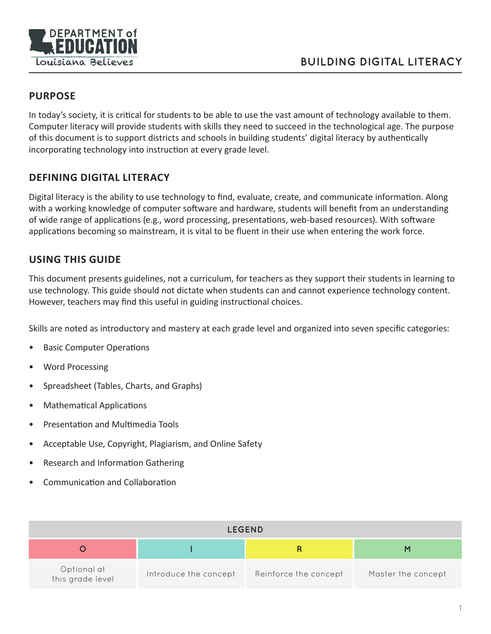

### **PURPOSE**

In today's society, it is critical for students to be able to use the vast amount of technology available to them. Computer literacy will provide students with skills they need to succeed in the technological age. The purpose of this document is to support districts and schools in building students' digital literacy by authentically incorporating technology into instruction at every grade level.

#### **DEFINING DIGITAL LITERACY**

Digital literacy is the ability to use technology to find, evaluate, create, and communicate information. Along with a working knowledge of computer software and hardware, students will benefit from an understanding of wide range of applications (e.g., word processing, presentations, web-based resources). With software applications becoming so mainstream, it is vital to be fluent in their use when entering the work force.

#### **USING THIS GUIDE**

This document presents guidelines, not a curriculum, for teachers as they support their students in learning to use technology. This guide should not dictate when students can and cannot experience technology content. However, teachers may find this useful in guiding instructional choices.

Skills are noted as introductory and mastery at each grade level and organized into seven specific categories:

- Basic Computer Operations
- Word Processing
- Spreadsheet (Tables, Charts, and Graphs)
- Mathematical Applications
- Presentation and Multimedia Tools
- Acceptable Use, Copyright, Plagiarism, and Online Safety
- Research and Information Gathering
- Communication and Collaboration

|                                 |                       | <b>LEGEND</b>         |                    |
|---------------------------------|-----------------------|-----------------------|--------------------|
|                                 |                       |                       |                    |
| Optional at<br>this grade level | Introduce the concept | Reinforce the concept | Master the concept |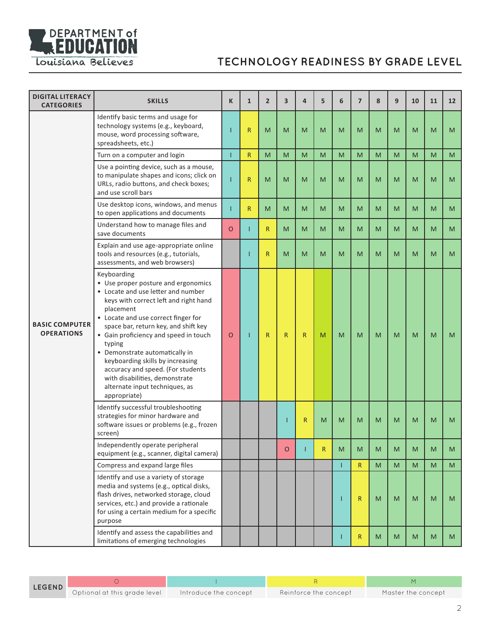

| <b>DIGITAL LITERACY</b><br><b>CATEGORIES</b> | <b>SKILLS</b>                                                                                                                                                                                                                                                                                                                                                                                                                                                                   | K        | $\mathbf{1}$ | $\overline{2}$ | 3            | $\overline{4}$ | 5 | 6 | $\overline{7}$ | 8         | 9 | 10        | 11 | 12 |
|----------------------------------------------|---------------------------------------------------------------------------------------------------------------------------------------------------------------------------------------------------------------------------------------------------------------------------------------------------------------------------------------------------------------------------------------------------------------------------------------------------------------------------------|----------|--------------|----------------|--------------|----------------|---|---|----------------|-----------|---|-----------|----|----|
|                                              | Identify basic terms and usage for<br>technology systems (e.g., keyboard,<br>mouse, word processing software,<br>spreadsheets, etc.)                                                                                                                                                                                                                                                                                                                                            |          | $\mathsf{R}$ | M              | M            | M              | M | M | M              | M         | M | M         | M  | M  |
|                                              | Turn on a computer and login                                                                                                                                                                                                                                                                                                                                                                                                                                                    |          | $\mathsf{R}$ | M              | M            | M              | M | M | M              | M         | M | M         | M  | M  |
|                                              | Use a pointing device, such as a mouse,<br>to manipulate shapes and icons; click on<br>URLs, radio buttons, and check boxes;<br>and use scroll bars                                                                                                                                                                                                                                                                                                                             |          | $\mathsf R$  | M              | M            | M              | M | M | M              | M         | M | M         | M  | M  |
|                                              | Use desktop icons, windows, and menus<br>to open applications and documents                                                                                                                                                                                                                                                                                                                                                                                                     |          | $\mathsf{R}$ | M              | M            | M              | M | M | M              | M         | M | M         | M  | M  |
|                                              | Understand how to manage files and<br>save documents                                                                                                                                                                                                                                                                                                                                                                                                                            | $\Omega$ | Т            | $\mathsf{R}$   | M            | M              | M | M | M              | M         | M | M         | M  | M  |
| <b>BASIC COMPUTER</b><br><b>OPERATIONS</b>   | Explain and use age-appropriate online<br>tools and resources (e.g., tutorials,<br>assessments, and web browsers)                                                                                                                                                                                                                                                                                                                                                               |          | ı            | $\mathsf{R}$   | M            | M              | M | M | M              | M         | M | M         | M  | M  |
|                                              | Keyboarding<br>• Use proper posture and ergonomics<br>• Locate and use letter and number<br>keys with correct left and right hand<br>placement<br>• Locate and use correct finger for<br>space bar, return key, and shift key<br>• Gain proficiency and speed in touch<br>typing<br>• Demonstrate automatically in<br>keyboarding skills by increasing<br>accuracy and speed. (For students<br>with disabilities, demonstrate<br>alternate input techniques, as<br>appropriate) | $\circ$  | ı            | $\mathsf{R}$   | $\mathsf{R}$ | $\mathsf{R}$   | M | M | M              | M         | M | M         | M  | M  |
|                                              | Identify successful troubleshooting<br>strategies for minor hardware and<br>software issues or problems (e.g., frozen<br>screen)                                                                                                                                                                                                                                                                                                                                                |          |              |                | T            | $\mathsf{R}$   | M | M | M              | M         | M | M         | M  | M  |
|                                              | Independently operate peripheral<br>equipment (e.g., scanner, digital camera)                                                                                                                                                                                                                                                                                                                                                                                                   |          |              |                | O            |                | R | M | M              | M         | M | M         | M  | M  |
|                                              | Compress and expand large files                                                                                                                                                                                                                                                                                                                                                                                                                                                 |          |              |                |              |                |   | Т | R              | M         | M | M         | M  | M  |
|                                              | Identify and use a variety of storage<br>media and systems (e.g., optical disks,<br>flash drives, networked storage, cloud<br>services, etc.) and provide a rationale<br>for using a certain medium for a specific<br>purpose                                                                                                                                                                                                                                                   |          |              |                |              |                |   | п | $\mathsf{R}$   | ${\sf M}$ | M | ${\sf M}$ | M  | M  |
|                                              | Identify and assess the capabilities and<br>limitations of emerging technologies                                                                                                                                                                                                                                                                                                                                                                                                |          |              |                |              |                |   |   | $\mathsf{R}$   | ${\sf M}$ | M | M         | M  | M  |

O I RADIO DE LA CARACTERA EL MENOPOLISMENTE EN LA CARACTERA EL MENOPOLISMENTE EN LA CARACTERA EL MENOPOLISMENT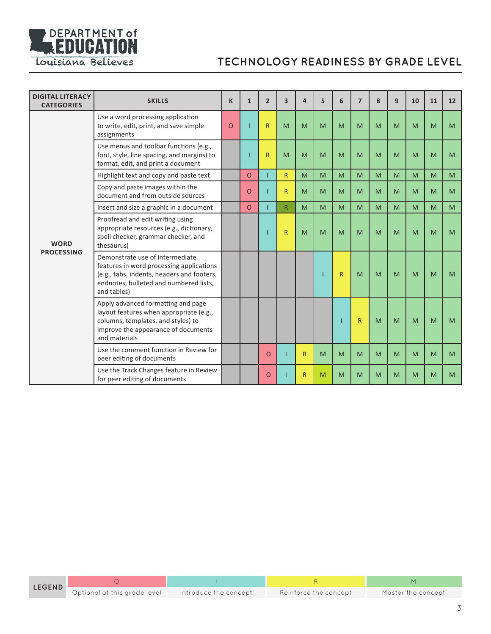

| <b>DIGITAL LITERACY</b><br><b>CATEGORIES</b> | <b>SKILLS</b>                                                                                                                                                                      | K        | $\mathbf{1}$ | $\overline{2}$ | $\overline{\mathbf{3}}$ | 4            | 5 | 6            | $\overline{ }$ | 8 | 9 | 10 | 11 | 12             |
|----------------------------------------------|------------------------------------------------------------------------------------------------------------------------------------------------------------------------------------|----------|--------------|----------------|-------------------------|--------------|---|--------------|----------------|---|---|----|----|----------------|
|                                              | Use a word processing application<br>to write, edit, print, and save simple<br>assignments                                                                                         | $\Omega$ |              | $\mathsf{R}$   | M                       | M            | M | M            | M              | M | M | M  | M  | M              |
|                                              | Use menus and toolbar functions (e.g.,<br>font, style, line spacing, and margins) to<br>format, edit, and print a document                                                         |          |              | $\mathsf{R}$   | M                       | M            | M | M            | M              | M | M | M  | M  | M              |
|                                              | Highlight text and copy and paste text                                                                                                                                             |          | $\circ$      |                | R                       | M            | M | M            | M              | M | M | M  | M  | M <sub>1</sub> |
|                                              | Copy and paste images within the<br>document and from outside sources                                                                                                              |          | $\circ$      |                | R.                      | M            | M | M            | M              | M | M | M  | M  | M              |
|                                              | Insert and size a graphic in a document                                                                                                                                            |          | $\circ$      |                | R.                      | M            | M | M            | M              | M | M | M  | M  | M              |
| <b>WORD</b><br><b>PROCESSING</b>             | Proofread and edit writing using<br>appropriate resources (e.g., dictionary,<br>spell checker, grammar checker, and<br>thesaurus)                                                  |          |              |                | R                       | M            | M | M            | M              | M | M | M  | M  | M              |
|                                              | Demonstrate use of intermediate<br>features in word processing applications<br>(e.g., tabs, indents, headers and footers,<br>endnotes, bulleted and numbered lists,<br>and tables) |          |              |                |                         |              |   | $\mathsf{R}$ | M              | M | M | M  | M  | M              |
|                                              | Apply advanced formatting and page<br>layout features when appropriate (e.g.,<br>columns, templates, and styles) to<br>improve the appearance of documents<br>and materials        |          |              |                |                         |              |   |              | $\mathsf{R}$   | M | M | M  | M  | M              |
|                                              | Use the comment function in Review for<br>peer editing of documents                                                                                                                |          |              | $\circ$        |                         | $\mathsf{R}$ | M | M            | M              | M | M | M  | M  | M              |
|                                              | Use the Track Changes feature in Review<br>for peer editing of documents                                                                                                           |          |              | O              |                         | $\mathsf{R}$ | M | M            | M              | M | M | M  | M  | M              |

O I RADIO DE LA CARACTERA EL MENOPOLISMENTE EN LA CARACTERA EL MENOPOLISMENTE EN LA CARACTERA EL MENOPOLISMENT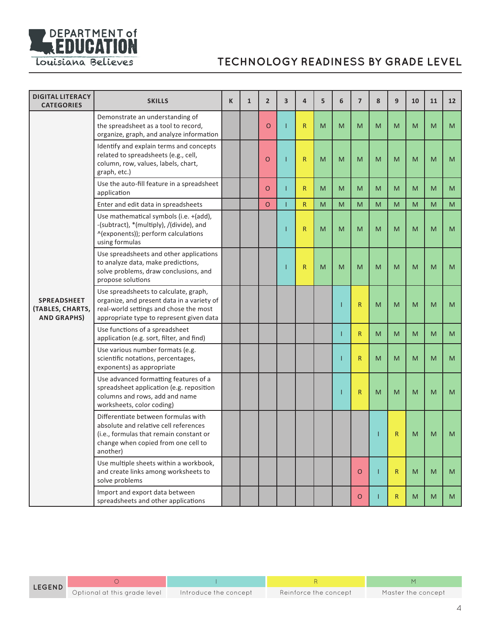

| <b>DIGITAL LITERACY</b><br><b>CATEGORIES</b>          | <b>SKILLS</b>                                                                                                                                                              | K | $\mathbf{1}$ | $\overline{2}$ | 3 | 4            | 5 | 6 | $\overline{7}$ | 8 | 9            | 10 | 11 | 12 <sup>2</sup> |
|-------------------------------------------------------|----------------------------------------------------------------------------------------------------------------------------------------------------------------------------|---|--------------|----------------|---|--------------|---|---|----------------|---|--------------|----|----|-----------------|
|                                                       | Demonstrate an understanding of<br>the spreadsheet as a tool to record,<br>organize, graph, and analyze information                                                        |   |              | $\circ$        |   | R            | M | M | M              | M | M            | M  | M  | M               |
|                                                       | Identify and explain terms and concepts<br>related to spreadsheets (e.g., cell,<br>column, row, values, labels, chart,<br>graph, etc.)                                     |   |              | O              |   | $\mathsf{R}$ | M | M | M              | M | M            | M  | M  | M               |
|                                                       | Use the auto-fill feature in a spreadsheet<br>application                                                                                                                  |   |              | $\circ$        |   | $\mathsf{R}$ | M | M | M              | M | M            | M  | M  | M               |
|                                                       | Enter and edit data in spreadsheets                                                                                                                                        |   |              | $\circ$        |   | R            | M | M | M              | M | M            | M  | M  | M               |
| SPREADSHEET<br>(TABLES, CHARTS,<br><b>AND GRAPHS)</b> | Use mathematical symbols (i.e. +(add),<br>-(subtract), *(multiply), /(divide), and<br>^(exponents)); perform calculations<br>using formulas                                |   |              |                |   | $\mathsf{R}$ | M | M | M              | M | M            | M  | M  | M               |
|                                                       | Use spreadsheets and other applications<br>to analyze data, make predictions,<br>solve problems, draw conclusions, and<br>propose solutions                                |   |              |                |   | $\mathsf{R}$ | M | M | M              | M | M            | M  | M  | M               |
|                                                       | Use spreadsheets to calculate, graph,<br>organize, and present data in a variety of<br>real-world settings and chose the most<br>appropriate type to represent given data  |   |              |                |   |              |   |   | $\mathsf R$    | M | M            | M  | M  | M               |
|                                                       | Use functions of a spreadsheet<br>application (e.g. sort, filter, and find)                                                                                                |   |              |                |   |              |   |   | $\mathsf{R}$   | M | M            | M  | M  | M               |
|                                                       | Use various number formats (e.g.<br>scientific notations, percentages,<br>exponents) as appropriate                                                                        |   |              |                |   |              |   |   | R              | M | M            | M  | M  | M               |
|                                                       | Use advanced formatting features of a<br>spreadsheet application (e.g. reposition<br>columns and rows, add and name<br>worksheets, color coding)                           |   |              |                |   |              |   |   | R              | M | M            | M  | M  | M               |
|                                                       | Differentiate between formulas with<br>absolute and relative cell references<br>(i.e., formulas that remain constant or<br>change when copied from one cell to<br>another) |   |              |                |   |              |   |   |                |   | R            | M  | M  | M               |
|                                                       | Use multiple sheets within a workbook,<br>and create links among worksheets to<br>solve problems                                                                           |   |              |                |   |              |   |   | $\circ$        | L | $\mathsf{R}$ | M  | M  | M               |
|                                                       | Import and export data between<br>spreadsheets and other applications                                                                                                      |   |              |                |   |              |   |   | $\circ$        |   | $\mathsf{R}$ | M  | M  | M               |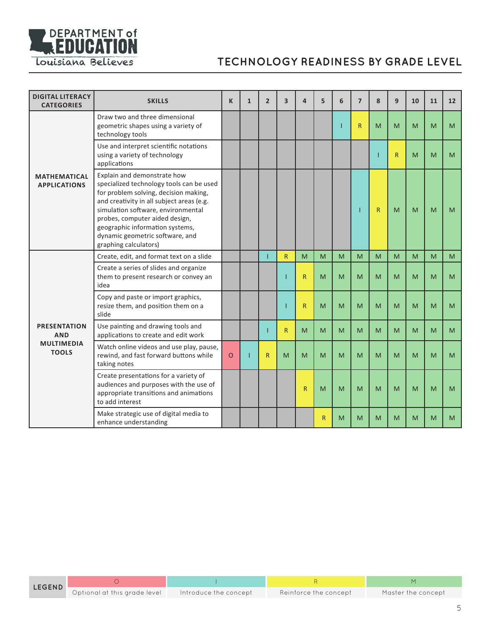

| <b>DIGITAL LITERACY</b><br><b>CATEGORIES</b> | <b>SKILLS</b>                                                                                                                                                                                                                                                                                                                        | K       | $\mathbf{1}$ | $\overline{2}$ | $\overline{\mathbf{3}}$ | $\overline{a}$ | 5 | 6 | $\overline{7}$ | 8            | 9  | 10 | 11 | 12 |
|----------------------------------------------|--------------------------------------------------------------------------------------------------------------------------------------------------------------------------------------------------------------------------------------------------------------------------------------------------------------------------------------|---------|--------------|----------------|-------------------------|----------------|---|---|----------------|--------------|----|----|----|----|
|                                              | Draw two and three dimensional<br>geometric shapes using a variety of<br>technology tools                                                                                                                                                                                                                                            |         |              |                |                         |                |   |   | R              | M            | M  | M  | M  | M  |
|                                              | Use and interpret scientific notations<br>using a variety of technology<br>applications                                                                                                                                                                                                                                              |         |              |                |                         |                |   |   |                |              | R. | M  | M  | M  |
| <b>MATHEMATICAL</b><br><b>APPLICATIONS</b>   | Explain and demonstrate how<br>specialized technology tools can be used<br>for problem solving, decision making,<br>and creativity in all subject areas (e.g.<br>simulation software, environmental<br>probes, computer aided design,<br>geographic information systems,<br>dynamic geometric software, and<br>graphing calculators) |         |              |                |                         |                |   |   |                | $\mathsf{R}$ | M  | M  | M  | M  |
|                                              | Create, edit, and format text on a slide                                                                                                                                                                                                                                                                                             |         |              |                | $\mathsf{R}$            | M              | M | M | M              | M            | M  | M  | M  | M  |
|                                              | Create a series of slides and organize<br>them to present research or convey an<br>idea                                                                                                                                                                                                                                              |         |              |                |                         | $\mathsf{R}$   | M | M | M              | M            | M  | M  | M  | M  |
|                                              | Copy and paste or import graphics,<br>resize them, and position them on a<br>slide                                                                                                                                                                                                                                                   |         |              |                | п                       | $\mathsf{R}$   | M | M | M              | M            | M  | M  | M  | M  |
| <b>PRESENTATION</b><br><b>AND</b>            | Use painting and drawing tools and<br>applications to create and edit work                                                                                                                                                                                                                                                           |         |              |                | $\mathsf{R}$            | M              | M | M | M              | M            | M  | M  | M  | M  |
| <b>MULTIMEDIA</b><br><b>TOOLS</b>            | Watch online videos and use play, pause,<br>rewind, and fast forward buttons while<br>taking notes                                                                                                                                                                                                                                   | $\circ$ |              | R              | M                       | M              | M | M | M              | M            | M  | M  | M  | M  |
|                                              | Create presentations for a variety of<br>audiences and purposes with the use of<br>appropriate transitions and animations<br>to add interest                                                                                                                                                                                         |         |              |                |                         | $\overline{R}$ | M | M | M              | M            | M  | M  | M  | M  |
|                                              | Make strategic use of digital media to<br>enhance understanding                                                                                                                                                                                                                                                                      |         |              |                |                         |                | R | M | M              | M            | M  | M  | M  | M  |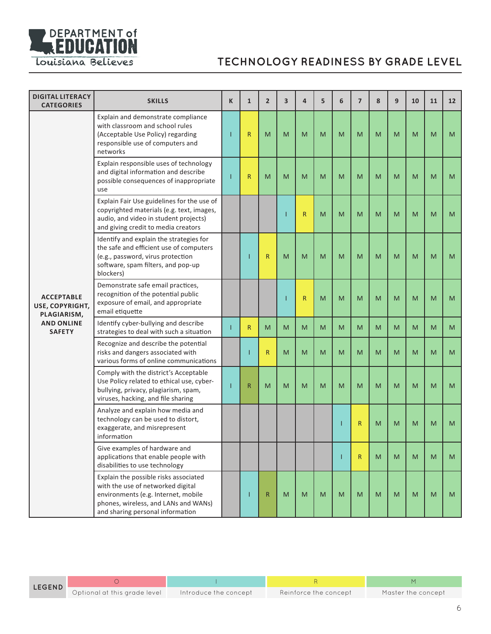

| <b>DIGITAL LITERACY</b><br><b>CATEGORIES</b>        | <b>SKILLS</b>                                                                                                                                                                                 | K | $\mathbf{1}$ | $\overline{2}$ | 3 | 4            | 5 | 6 | $\overline{7}$ | 8 | 9 | 10 | 11 | 12 |
|-----------------------------------------------------|-----------------------------------------------------------------------------------------------------------------------------------------------------------------------------------------------|---|--------------|----------------|---|--------------|---|---|----------------|---|---|----|----|----|
|                                                     | Explain and demonstrate compliance<br>with classroom and school rules<br>(Acceptable Use Policy) regarding<br>responsible use of computers and<br>networks                                    |   | $\mathsf R$  | M              | M | M            | M | M | M              | M | M | M  | M  | M  |
|                                                     | Explain responsible uses of technology<br>and digital information and describe<br>possible consequences of inappropriate<br>use                                                               |   | $\mathsf{R}$ | M              | M | M            | M | M | M              | M | M | M  | M  | M  |
| <b>ACCEPTABLE</b><br>USE, COPYRIGHT,<br>PLAGIARISM, | Explain Fair Use guidelines for the use of<br>copyrighted materials (e.g. text, images,<br>audio, and video in student projects)<br>and giving credit to media creators                       |   |              |                |   | $\mathsf{R}$ | M | M | M              | M | M | M  | M  | M  |
|                                                     | Identify and explain the strategies for<br>the safe and efficient use of computers<br>(e.g., password, virus protection<br>software, spam filters, and pop-up<br>blockers)                    |   | п            | $\overline{R}$ | M | M            | M | M | M              | M | M | M  | M  | M  |
|                                                     | Demonstrate safe email practices,<br>recognition of the potential public<br>exposure of email, and appropriate<br>email etiquette                                                             |   |              |                |   | $\mathsf{R}$ | M | M | M              | M | M | M  | M  | M  |
| <b>AND ONLINE</b><br><b>SAFETY</b>                  | Identify cyber-bullying and describe<br>strategies to deal with such a situation                                                                                                              |   | $\mathsf{R}$ | M              | M | M            | M | M | M              | M | M | M  | M  | M  |
|                                                     | Recognize and describe the potential<br>risks and dangers associated with<br>various forms of online communications                                                                           |   | ı            | $\mathsf{R}$   | M | M            | M | M | M              | M | M | M  | M  | M  |
|                                                     | Comply with the district's Acceptable<br>Use Policy related to ethical use, cyber-<br>bullying, privacy, plagiarism, spam,<br>viruses, hacking, and file sharing                              |   | $\mathsf{R}$ | M              | M | M            | M | M | M              | M | M | M  | M  | M  |
|                                                     | Analyze and explain how media and<br>technology can be used to distort,<br>exaggerate, and misrepresent<br>information                                                                        |   |              |                |   |              |   |   | R              | M | M | M  | M  | M  |
|                                                     | Give examples of hardware and<br>applications that enable people with<br>disabilities to use technology                                                                                       |   |              |                |   |              |   |   | R.             | M | M | M  | M  | M  |
|                                                     | Explain the possible risks associated<br>with the use of networked digital<br>environments (e.g. Internet, mobile<br>phones, wireless, and LANs and WANs)<br>and sharing personal information |   | п            | $\mathsf R$    | M | M            | M | M | M              | M | M | M  | M  | M  |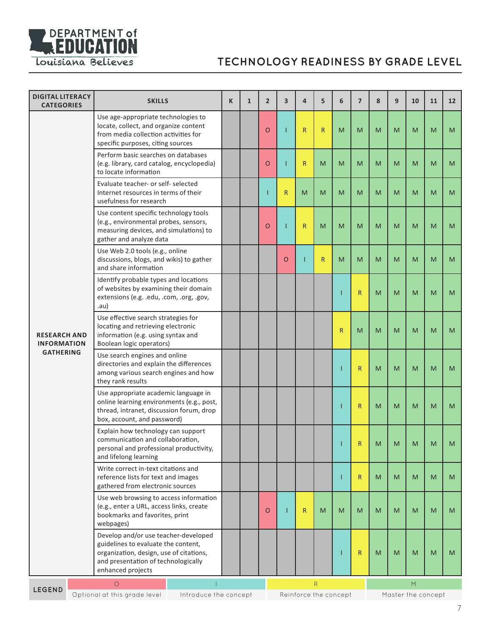

| Use age-appropriate technologies to<br>locate, collect, and organize content<br>$\mathsf{R}$<br>$\mathsf{R}$<br>O<br>Т<br>M<br>M<br>M<br>M<br>M<br>M<br>M<br>from media collection activities for<br>specific purposes, citing sources<br>Perform basic searches on databases<br>(e.g. library, card catalog, encyclopedia)<br>O<br>Т<br>R<br>M<br>M<br>M<br>M<br>M<br>M<br>M<br>M<br>to locate information<br>Evaluate teacher- or self- selected<br>Internet resources in terms of their<br>R<br>M<br>M<br>M<br>M<br>M<br>M<br>M<br>M<br>M<br>usefulness for research<br>Use content specific technology tools<br>(e.g., environmental probes, sensors,<br>$\mathsf{R}$<br>O<br>Т<br>M<br>M<br>M<br>M<br>M<br>M<br>M<br>M<br>measuring devices, and simulations) to<br>gather and analyze data<br>Use Web 2.0 tools (e.g., online<br>discussions, blogs, and wikis) to gather<br>$\mathsf{R}$<br>$\circ$<br>M<br>M<br>M<br>M<br>M<br>M<br>M<br>and share information<br>Identify probable types and locations<br>of websites by examining their domain<br>$\mathsf{R}$<br>M<br>M<br>M<br>M<br>M<br>extensions (e.g. .edu, .com, .org, .gov,<br>.au)<br>Use effective search strategies for<br>locating and retrieving electronic<br>R<br>M<br>M<br>M<br>M<br>M<br>M<br>information (e.g. using syntax and<br><b>RESEARCH AND</b><br>Boolean logic operators)<br><b>INFORMATION</b><br><b>GATHERING</b><br>Use search engines and online<br>directories and explain the differences<br>$\mathsf{R}$<br>M<br>M<br>M<br>M<br>M<br>among various search engines and how<br>they rank results<br>Use appropriate academic language in<br>online learning environments (e.g., post,<br>$\mathsf{R}$<br>M<br>M<br>M<br>M<br>M<br>thread, intranet, discussion forum, drop<br>box, account, and password)<br>Explain how technology can support<br>communication and collaboration,<br>$\mathsf{R}$<br>M<br>M<br>M<br>M<br>M<br>personal and professional productivity,<br>and lifelong learning<br>Write correct in-text citations and<br>reference lists for text and images<br>$\mathsf{R}$<br>M<br>M<br>M<br>M<br>M<br>gathered from electronic sources<br>Use web browsing to access information<br>(e.g., enter a URL, access links, create<br>O<br>ī<br>R<br>M<br>M<br>M<br>M<br>M<br>M<br>M<br>M<br>bookmarks and favorites, print<br>webpages)<br>Develop and/or use teacher-developed<br>guidelines to evaluate the content,<br>organization, design, use of citations,<br>$\mathsf{R}$<br>M<br>M<br>M<br>M<br>M<br>and presentation of technologically<br>enhanced projects<br>$\circ$<br>$\overline{R}$<br>M | <b>DIGITAL LITERACY</b><br><b>CATEGORIES</b> |  | <b>SKILLS</b> |  | K | $\mathbf{1}$ | $\overline{2}$ | $\overline{\mathbf{3}}$ | 4 | 5 | 6 | $\overline{7}$ | 8 | 9 | 10 | 11 | 12 |
|--------------------------------------------------------------------------------------------------------------------------------------------------------------------------------------------------------------------------------------------------------------------------------------------------------------------------------------------------------------------------------------------------------------------------------------------------------------------------------------------------------------------------------------------------------------------------------------------------------------------------------------------------------------------------------------------------------------------------------------------------------------------------------------------------------------------------------------------------------------------------------------------------------------------------------------------------------------------------------------------------------------------------------------------------------------------------------------------------------------------------------------------------------------------------------------------------------------------------------------------------------------------------------------------------------------------------------------------------------------------------------------------------------------------------------------------------------------------------------------------------------------------------------------------------------------------------------------------------------------------------------------------------------------------------------------------------------------------------------------------------------------------------------------------------------------------------------------------------------------------------------------------------------------------------------------------------------------------------------------------------------------------------------------------------------------------------------------------------------------------------------------------------------------------------------------------------------------------------------------------------------------------------------------------------------------------------------------------------------------------------------------------------------------------------------------------------------------------------------------------------------------------------------------------------------------------------------------------------------------------|----------------------------------------------|--|---------------|--|---|--------------|----------------|-------------------------|---|---|---|----------------|---|---|----|----|----|
|                                                                                                                                                                                                                                                                                                                                                                                                                                                                                                                                                                                                                                                                                                                                                                                                                                                                                                                                                                                                                                                                                                                                                                                                                                                                                                                                                                                                                                                                                                                                                                                                                                                                                                                                                                                                                                                                                                                                                                                                                                                                                                                                                                                                                                                                                                                                                                                                                                                                                                                                                                                                                    |                                              |  |               |  |   |              |                |                         |   |   |   |                |   |   |    |    |    |
|                                                                                                                                                                                                                                                                                                                                                                                                                                                                                                                                                                                                                                                                                                                                                                                                                                                                                                                                                                                                                                                                                                                                                                                                                                                                                                                                                                                                                                                                                                                                                                                                                                                                                                                                                                                                                                                                                                                                                                                                                                                                                                                                                                                                                                                                                                                                                                                                                                                                                                                                                                                                                    |                                              |  |               |  |   |              |                |                         |   |   |   |                |   |   |    |    |    |
|                                                                                                                                                                                                                                                                                                                                                                                                                                                                                                                                                                                                                                                                                                                                                                                                                                                                                                                                                                                                                                                                                                                                                                                                                                                                                                                                                                                                                                                                                                                                                                                                                                                                                                                                                                                                                                                                                                                                                                                                                                                                                                                                                                                                                                                                                                                                                                                                                                                                                                                                                                                                                    |                                              |  |               |  |   |              |                |                         |   |   |   |                |   |   |    |    |    |
|                                                                                                                                                                                                                                                                                                                                                                                                                                                                                                                                                                                                                                                                                                                                                                                                                                                                                                                                                                                                                                                                                                                                                                                                                                                                                                                                                                                                                                                                                                                                                                                                                                                                                                                                                                                                                                                                                                                                                                                                                                                                                                                                                                                                                                                                                                                                                                                                                                                                                                                                                                                                                    |                                              |  |               |  |   |              |                |                         |   |   |   |                |   |   |    |    |    |
|                                                                                                                                                                                                                                                                                                                                                                                                                                                                                                                                                                                                                                                                                                                                                                                                                                                                                                                                                                                                                                                                                                                                                                                                                                                                                                                                                                                                                                                                                                                                                                                                                                                                                                                                                                                                                                                                                                                                                                                                                                                                                                                                                                                                                                                                                                                                                                                                                                                                                                                                                                                                                    |                                              |  |               |  |   |              |                |                         |   |   |   |                |   |   |    |    |    |
|                                                                                                                                                                                                                                                                                                                                                                                                                                                                                                                                                                                                                                                                                                                                                                                                                                                                                                                                                                                                                                                                                                                                                                                                                                                                                                                                                                                                                                                                                                                                                                                                                                                                                                                                                                                                                                                                                                                                                                                                                                                                                                                                                                                                                                                                                                                                                                                                                                                                                                                                                                                                                    |                                              |  |               |  |   |              |                |                         |   |   |   |                |   |   |    |    |    |
|                                                                                                                                                                                                                                                                                                                                                                                                                                                                                                                                                                                                                                                                                                                                                                                                                                                                                                                                                                                                                                                                                                                                                                                                                                                                                                                                                                                                                                                                                                                                                                                                                                                                                                                                                                                                                                                                                                                                                                                                                                                                                                                                                                                                                                                                                                                                                                                                                                                                                                                                                                                                                    |                                              |  |               |  |   |              |                |                         |   |   |   |                |   |   |    |    |    |
|                                                                                                                                                                                                                                                                                                                                                                                                                                                                                                                                                                                                                                                                                                                                                                                                                                                                                                                                                                                                                                                                                                                                                                                                                                                                                                                                                                                                                                                                                                                                                                                                                                                                                                                                                                                                                                                                                                                                                                                                                                                                                                                                                                                                                                                                                                                                                                                                                                                                                                                                                                                                                    |                                              |  |               |  |   |              |                |                         |   |   |   |                |   |   |    |    |    |
|                                                                                                                                                                                                                                                                                                                                                                                                                                                                                                                                                                                                                                                                                                                                                                                                                                                                                                                                                                                                                                                                                                                                                                                                                                                                                                                                                                                                                                                                                                                                                                                                                                                                                                                                                                                                                                                                                                                                                                                                                                                                                                                                                                                                                                                                                                                                                                                                                                                                                                                                                                                                                    |                                              |  |               |  |   |              |                |                         |   |   |   |                |   |   |    |    |    |
|                                                                                                                                                                                                                                                                                                                                                                                                                                                                                                                                                                                                                                                                                                                                                                                                                                                                                                                                                                                                                                                                                                                                                                                                                                                                                                                                                                                                                                                                                                                                                                                                                                                                                                                                                                                                                                                                                                                                                                                                                                                                                                                                                                                                                                                                                                                                                                                                                                                                                                                                                                                                                    |                                              |  |               |  |   |              |                |                         |   |   |   |                |   |   |    |    |    |
|                                                                                                                                                                                                                                                                                                                                                                                                                                                                                                                                                                                                                                                                                                                                                                                                                                                                                                                                                                                                                                                                                                                                                                                                                                                                                                                                                                                                                                                                                                                                                                                                                                                                                                                                                                                                                                                                                                                                                                                                                                                                                                                                                                                                                                                                                                                                                                                                                                                                                                                                                                                                                    |                                              |  |               |  |   |              |                |                         |   |   |   |                |   |   |    |    |    |
|                                                                                                                                                                                                                                                                                                                                                                                                                                                                                                                                                                                                                                                                                                                                                                                                                                                                                                                                                                                                                                                                                                                                                                                                                                                                                                                                                                                                                                                                                                                                                                                                                                                                                                                                                                                                                                                                                                                                                                                                                                                                                                                                                                                                                                                                                                                                                                                                                                                                                                                                                                                                                    |                                              |  |               |  |   |              |                |                         |   |   |   |                |   |   |    |    |    |
|                                                                                                                                                                                                                                                                                                                                                                                                                                                                                                                                                                                                                                                                                                                                                                                                                                                                                                                                                                                                                                                                                                                                                                                                                                                                                                                                                                                                                                                                                                                                                                                                                                                                                                                                                                                                                                                                                                                                                                                                                                                                                                                                                                                                                                                                                                                                                                                                                                                                                                                                                                                                                    |                                              |  |               |  |   |              |                |                         |   |   |   |                |   |   |    |    |    |
| Reinforce the concept<br>Optional at this grade level<br>Introduce the concept<br>Master the concept                                                                                                                                                                                                                                                                                                                                                                                                                                                                                                                                                                                                                                                                                                                                                                                                                                                                                                                                                                                                                                                                                                                                                                                                                                                                                                                                                                                                                                                                                                                                                                                                                                                                                                                                                                                                                                                                                                                                                                                                                                                                                                                                                                                                                                                                                                                                                                                                                                                                                                               | <b>LEGEND</b>                                |  |               |  |   |              |                |                         |   |   |   |                |   |   |    |    |    |